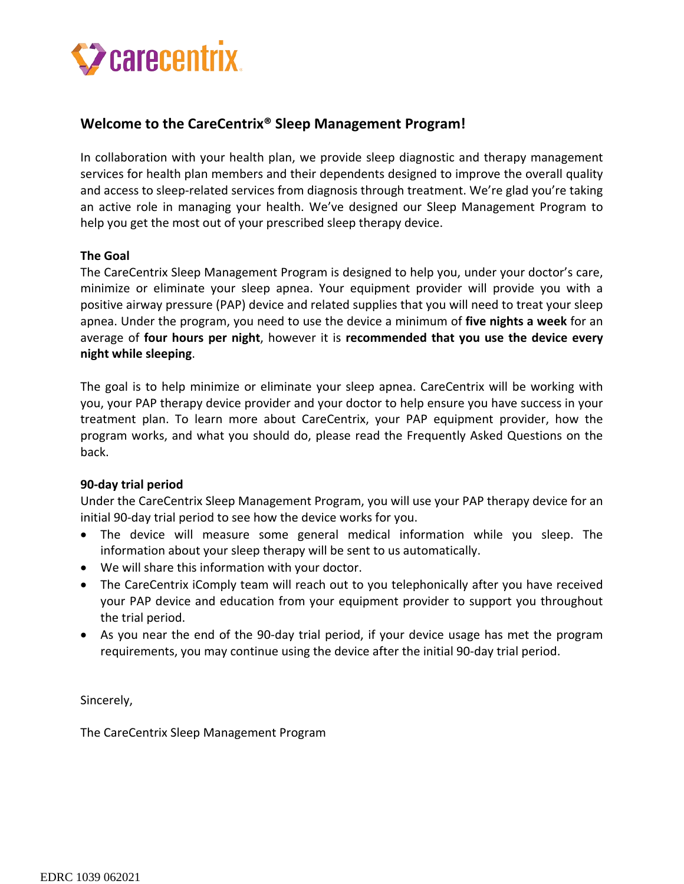# **Z** carecentrix.

## **Welcome to the CareCentrix® Sleep Management Program!**

In collaboration with your health plan, we provide sleep diagnostic and therapy management services for health plan members and their dependents designed to improve the overall quality and access to sleep-related services from diagnosis through treatment. We're glad you're taking an active role in managing your health. We've designed our Sleep Management Program to help you get the most out of your prescribed sleep therapy device.

#### **The Goal**

The CareCentrix Sleep Management Program is designed to help you, under your doctor's care, minimize or eliminate your sleep apnea. Your equipment provider will provide you with a positive airway pressure (PAP) device and related supplies that you will need to treat your sleep apnea. Under the program, you need to use the device a minimum of **five nights a week** for an average of **four hours per night**, however it is **recommended that you use the device every night while sleeping**.

The goal is to help minimize or eliminate your sleep apnea. CareCentrix will be working with you, your PAP therapy device provider and your doctor to help ensure you have success in your treatment plan. To learn more about CareCentrix, your PAP equipment provider, how the program works, and what you should do, please read the Frequently Asked Questions on the back.

#### **90-day trial period**

Under the CareCentrix Sleep Management Program, you will use your PAP therapy device for an initial 90-day trial period to see how the device works for you.

- The device will measure some general medical information while you sleep. The information about your sleep therapy will be sent to us automatically.
- We will share this information with your doctor.
- The CareCentrix iComply team will reach out to you telephonically after you have received your PAP device and education from your equipment provider to support you throughout the trial period.
- As you near the end of the 90-day trial period, if your device usage has met the program requirements, you may continue using the device after the initial 90-day trial period.

Sincerely,

The CareCentrix Sleep Management Program